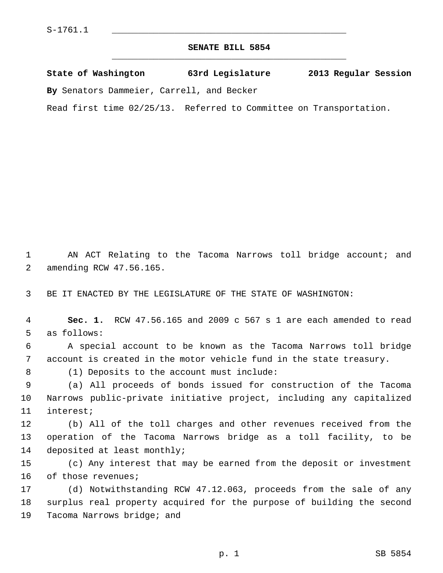## **SENATE BILL 5854** \_\_\_\_\_\_\_\_\_\_\_\_\_\_\_\_\_\_\_\_\_\_\_\_\_\_\_\_\_\_\_\_\_\_\_\_\_\_\_\_\_\_\_\_\_

**State of Washington 63rd Legislature 2013 Regular Session**

**By** Senators Dammeier, Carrell, and Becker

Read first time 02/25/13. Referred to Committee on Transportation.

 1 AN ACT Relating to the Tacoma Narrows toll bridge account; and 2 amending RCW 47.56.165.

3 BE IT ENACTED BY THE LEGISLATURE OF THE STATE OF WASHINGTON:

 4 **Sec. 1.** RCW 47.56.165 and 2009 c 567 s 1 are each amended to read 5 as follows:

 6 A special account to be known as the Tacoma Narrows toll bridge 7 account is created in the motor vehicle fund in the state treasury.

8 (1) Deposits to the account must include:

 9 (a) All proceeds of bonds issued for construction of the Tacoma 10 Narrows public-private initiative project, including any capitalized 11 interest;

12 (b) All of the toll charges and other revenues received from the 13 operation of the Tacoma Narrows bridge as a toll facility, to be 14 deposited at least monthly;

15 (c) Any interest that may be earned from the deposit or investment 16 of those revenues;

17 (d) Notwithstanding RCW 47.12.063, proceeds from the sale of any 18 surplus real property acquired for the purpose of building the second 19 Tacoma Narrows bridge; and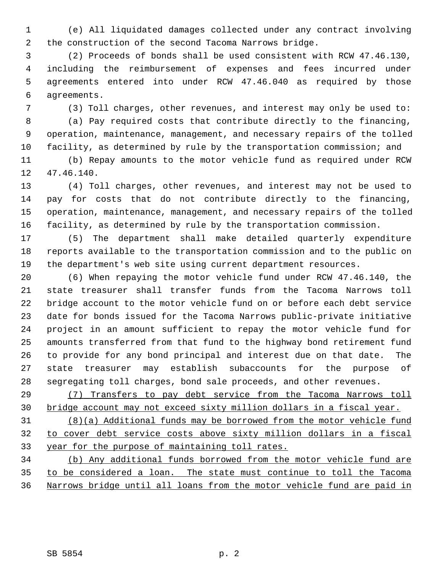1 (e) All liquidated damages collected under any contract involving 2 the construction of the second Tacoma Narrows bridge.

 3 (2) Proceeds of bonds shall be used consistent with RCW 47.46.130, 4 including the reimbursement of expenses and fees incurred under 5 agreements entered into under RCW 47.46.040 as required by those 6 agreements.

7 (3) Toll charges, other revenues, and interest may only be used to:

 8 (a) Pay required costs that contribute directly to the financing, 9 operation, maintenance, management, and necessary repairs of the tolled 10 facility, as determined by rule by the transportation commission; and

11 (b) Repay amounts to the motor vehicle fund as required under RCW 12 47.46.140.

13 (4) Toll charges, other revenues, and interest may not be used to 14 pay for costs that do not contribute directly to the financing, 15 operation, maintenance, management, and necessary repairs of the tolled 16 facility, as determined by rule by the transportation commission.

17 (5) The department shall make detailed quarterly expenditure 18 reports available to the transportation commission and to the public on 19 the department's web site using current department resources.

20 (6) When repaying the motor vehicle fund under RCW 47.46.140, the 21 state treasurer shall transfer funds from the Tacoma Narrows toll 22 bridge account to the motor vehicle fund on or before each debt service 23 date for bonds issued for the Tacoma Narrows public-private initiative 24 project in an amount sufficient to repay the motor vehicle fund for 25 amounts transferred from that fund to the highway bond retirement fund 26 to provide for any bond principal and interest due on that date. The 27 state treasurer may establish subaccounts for the purpose of 28 segregating toll charges, bond sale proceeds, and other revenues.

29 (7) Transfers to pay debt service from the Tacoma Narrows toll 30 bridge account may not exceed sixty million dollars in a fiscal year.

31 (8)(a) Additional funds may be borrowed from the motor vehicle fund 32 to cover debt service costs above sixty million dollars in a fiscal 33 year for the purpose of maintaining toll rates.

34 (b) Any additional funds borrowed from the motor vehicle fund are 35 to be considered a loan. The state must continue to toll the Tacoma 36 Narrows bridge until all loans from the motor vehicle fund are paid in